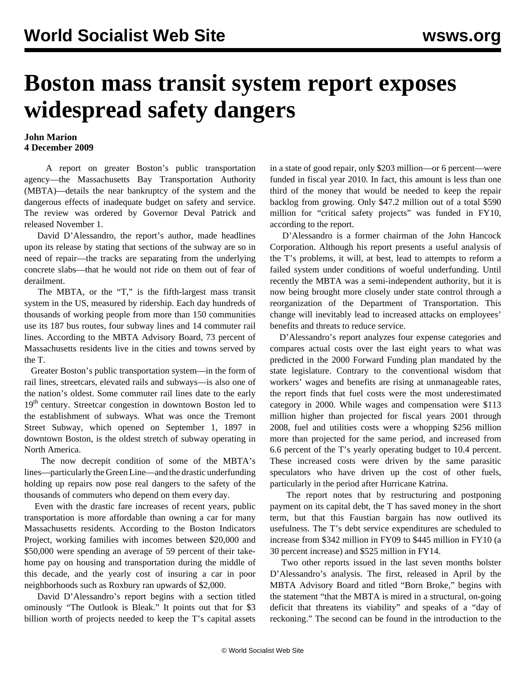## **Boston mass transit system report exposes widespread safety dangers**

## **John Marion 4 December 2009**

 A report on greater Boston's public transportation agency—the Massachusetts Bay Transportation Authority (MBTA)—details the near bankruptcy of the system and the dangerous effects of inadequate budget on safety and service. The review was ordered by Governor Deval Patrick and released November 1.

 David D'Alessandro, the report's author, made headlines upon its release by stating that sections of the subway are so in need of repair—the tracks are separating from the underlying concrete slabs—that he would not ride on them out of fear of derailment.

 The MBTA, or the "T," is the fifth-largest mass transit system in the US, measured by ridership. Each day hundreds of thousands of working people from more than 150 communities use its 187 bus routes, four subway lines and 14 commuter rail lines. According to the MBTA Advisory Board, 73 percent of Massachusetts residents live in the cities and towns served by the T.

 Greater Boston's public transportation system—in the form of rail lines, streetcars, elevated rails and subways—is also one of the nation's oldest. Some commuter rail lines date to the early 19<sup>th</sup> century. Streetcar congestion in downtown Boston led to the establishment of subways. What was once the Tremont Street Subway, which opened on September 1, 1897 in downtown Boston, is the oldest stretch of subway operating in North America.

 The now decrepit condition of some of the MBTA's lines—particularly the Green Line—and the drastic underfunding holding up repairs now pose real dangers to the safety of the thousands of commuters who depend on them every day.

 Even with the drastic fare increases of recent years, public transportation is more affordable than owning a car for many Massachusetts residents. According to the Boston Indicators Project, working families with incomes between \$20,000 and \$50,000 were spending an average of 59 percent of their takehome pay on housing and transportation during the middle of this decade, and the yearly cost of insuring a car in poor neighborhoods such as Roxbury ran upwards of \$2,000.

 David D'Alessandro's report begins with a section titled ominously "The Outlook is Bleak." It points out that for \$3 billion worth of projects needed to keep the T's capital assets in a state of good repair, only \$203 million—or 6 percent—were funded in fiscal year 2010. In fact, this amount is less than one third of the money that would be needed to keep the repair backlog from growing. Only \$47.2 million out of a total \$590 million for "critical safety projects" was funded in FY10, according to the report.

 D'Alessandro is a former chairman of the John Hancock Corporation. Although his report presents a useful analysis of the T's problems, it will, at best, lead to attempts to reform a failed system under conditions of woeful underfunding. Until recently the MBTA was a semi-independent authority, but it is now being brought more closely under state control through a reorganization of the Department of Transportation. This change will inevitably lead to increased attacks on employees' benefits and threats to reduce service.

 D'Alessandro's report analyzes four expense categories and compares actual costs over the last eight years to what was predicted in the 2000 Forward Funding plan mandated by the state legislature. Contrary to the conventional wisdom that workers' wages and benefits are rising at unmanageable rates, the report finds that fuel costs were the most underestimated category in 2000. While wages and compensation were \$113 million higher than projected for fiscal years 2001 through 2008, fuel and utilities costs were a whopping \$256 million more than projected for the same period, and increased from 6.6 percent of the T's yearly operating budget to 10.4 percent. These increased costs were driven by the same parasitic speculators who have driven up the cost of other fuels, particularly in the period after Hurricane Katrina.

 The report notes that by restructuring and postponing payment on its capital debt, the T has saved money in the short term, but that this Faustian bargain has now outlived its usefulness. The T's debt service expenditures are scheduled to increase from \$342 million in FY09 to \$445 million in FY10 (a 30 percent increase) and \$525 million in FY14.

 Two other reports issued in the last seven months bolster D'Alessandro's analysis. The first, released in April by the MBTA Advisory Board and titled "Born Broke," begins with the statement "that the MBTA is mired in a structural, on-going deficit that threatens its viability" and speaks of a "day of reckoning." The second can be found in the introduction to the